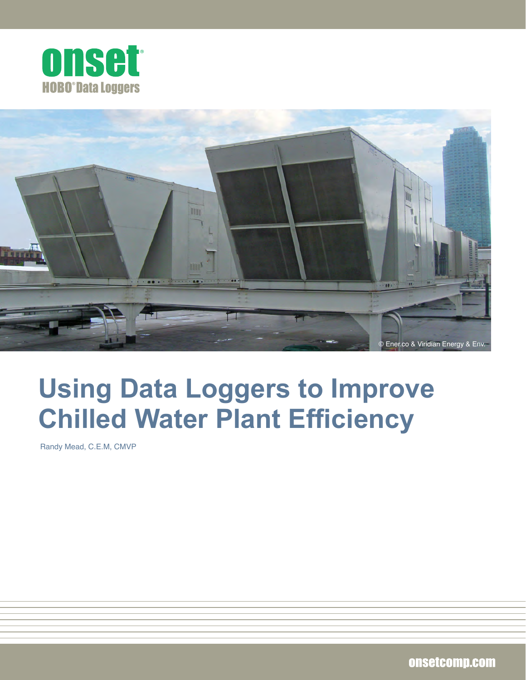



# **Using Data Loggers to Improve Chilled Water Plant Efficiency**

Randy Mead, C.E.M, CMVP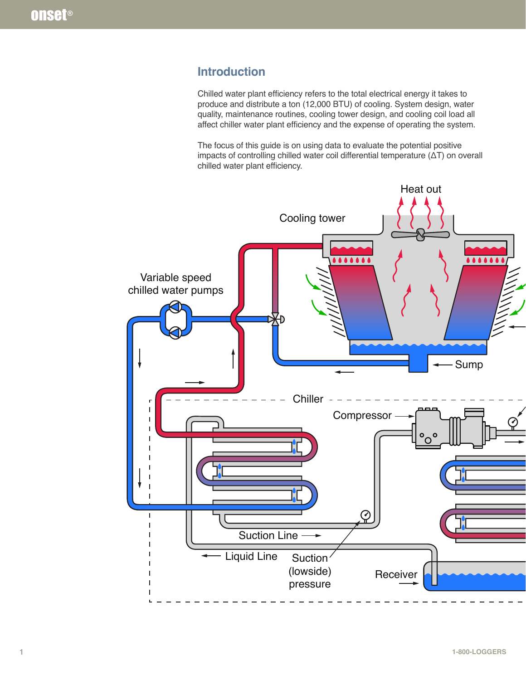## **Introduction**

Chilled water plant efficiency refers to the total electrical energy it takes to produce and distribute a ton (12,000 BTU) of cooling. System design, water quality, maintenance routines, cooling tower design, and cooling coil load all affect chiller water plant efficiency and the expense of operating the system.

The focus of this guide is on using data to evaluate the potential positive impacts of controlling chilled water coil differential temperature (ΔT) on overall chilled water plant efficiency.

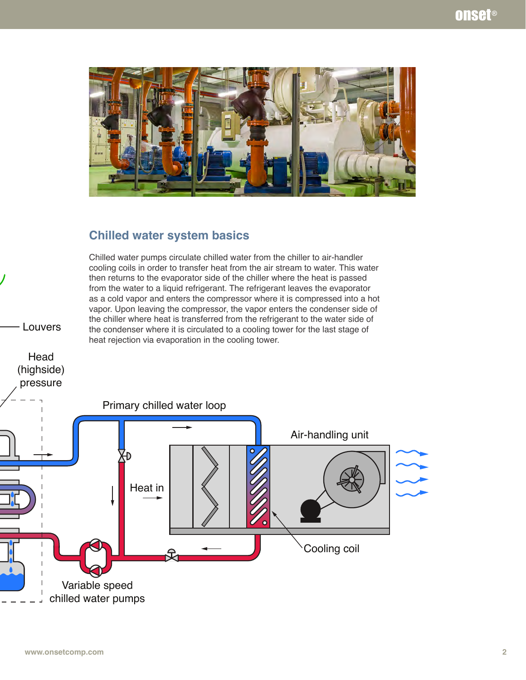

## **Chilled water system basics**

Chilled water pumps circulate chilled water from the chiller to air-handler cooling coils in order to transfer heat from the air stream to water. This water then returns to the evaporator side of the chiller where the heat is passed from the water to a liquid refrigerant. The refrigerant leaves the evaporator as a cold vapor and enters the compressor where it is compressed into a hot vapor. Upon leaving the compressor, the vapor enters the condenser side of the chiller where heat is transferred from the refrigerant to the water side of the condenser where it is circulated to a cooling tower for the last stage of heat rejection via evaporation in the cooling tower.

Louvers

Head (highside)

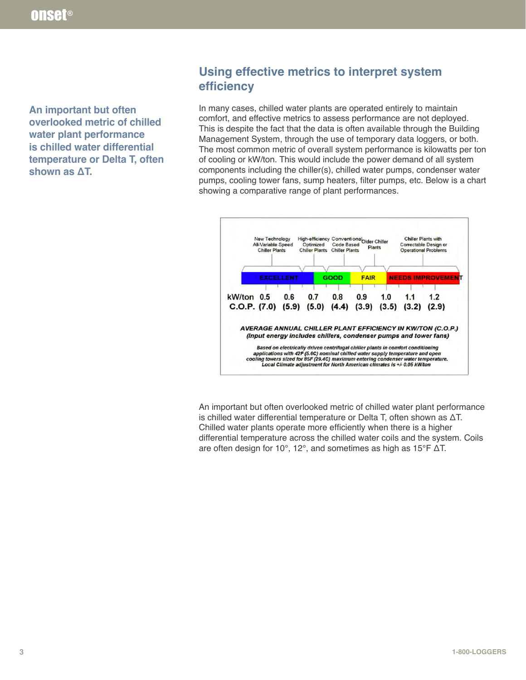**An important but often overlooked metric of chilled water plant performance is chilled water differential temperature or Delta T, often shown as ΔT.**

# **Using effective metrics to interpret system efficiency**

In many cases, chilled water plants are operated entirely to maintain comfort, and effective metrics to assess performance are not deployed. This is despite the fact that the data is often available through the Building Management System, through the use of temporary data loggers, or both. The most common metric of overall system performance is kilowatts per ton of cooling or kW/ton. This would include the power demand of all system components including the chiller(s), chilled water pumps, condenser water pumps, cooling tower fans, sump heaters, filter pumps, etc. Below is a chart showing a comparative range of plant performances.



An important but often overlooked metric of chilled water plant performance is chilled water differential temperature or Delta T, often shown as ΔT. Chilled water plants operate more efficiently when there is a higher differential temperature across the chilled water coils and the system. Coils are often design for 10°, 12°, and sometimes as high as 15°F ΔT.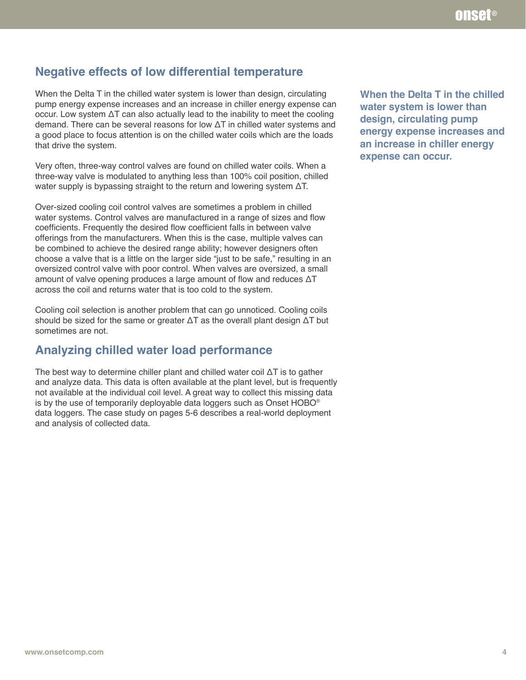# **Negative effects of low differential temperature**

When the Delta T in the chilled water system is lower than design, circulating pump energy expense increases and an increase in chiller energy expense can occur. Low system ΔT can also actually lead to the inability to meet the cooling demand. There can be several reasons for low ΔT in chilled water systems and a good place to focus attention is on the chilled water coils which are the loads that drive the system.

Very often, three-way control valves are found on chilled water coils. When a three-way valve is modulated to anything less than 100% coil position, chilled water supply is bypassing straight to the return and lowering system ΔT.

Over-sized cooling coil control valves are sometimes a problem in chilled water systems. Control valves are manufactured in a range of sizes and flow coefficients. Frequently the desired flow coefficient falls in between valve offerings from the manufacturers. When this is the case, multiple valves can be combined to achieve the desired range ability; however designers often choose a valve that is a little on the larger side "just to be safe," resulting in an oversized control valve with poor control. When valves are oversized, a small amount of valve opening produces a large amount of flow and reduces ΔT across the coil and returns water that is too cold to the system.

Cooling coil selection is another problem that can go unnoticed. Cooling coils should be sized for the same or greater ΔT as the overall plant design ΔT but sometimes are not.

## **Analyzing chilled water load performance**

The best way to determine chiller plant and chilled water coil  $\Delta T$  is to gather and analyze data. This data is often available at the plant level, but is frequently not available at the individual coil level. A great way to collect this missing data is by the use of temporarily deployable data loggers such as Onset HOBO® data loggers. The case study on pages 5-6 describes a real-world deployment and analysis of collected data.

**When the Delta T in the chilled water system is lower than design, circulating pump energy expense increases and an increase in chiller energy expense can occur.**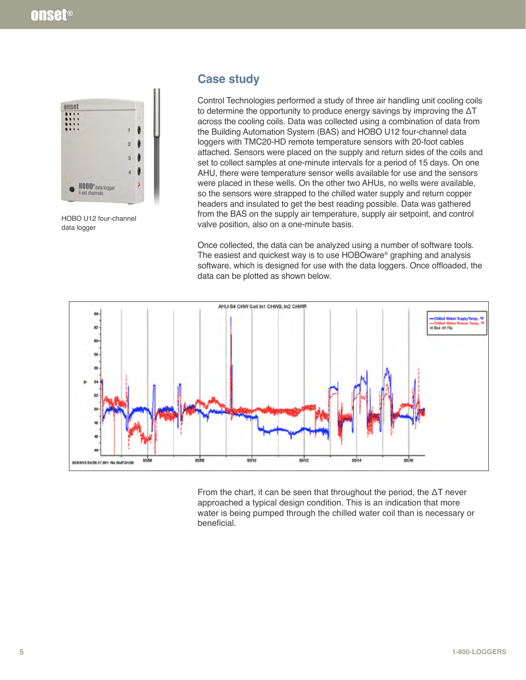

HOBO U12 four-channel data logger

## **Case study**

Control Technologies performed a study of three air handling unit cooling coils to determine the opportunity to produce energy savings by improving the  $\Delta T$ across the cooling coils. Data was collected using a combination of data from the Building Automation System (BAS) and HOBO U12 four-channel data loggers with TMC20-HD remote temperature sensors with 20-foot cables attached. Sensors were placed on the supply and return sides of the coils and set to collect samples at one-minute intervals for a period of 15 days. On one AHU, there were temperature sensor wells available for use and the sensors were placed in these wells. On the other two AHUs, no wells were available, so the sensors were strapped to the chilled water supply and return copper headers and insulated to get the best reading possible. Data was gathered from the BAS on the supply air temperature, supply air setpoint, and control valve position, also on a one-minute basis.

Once collected, the data can be analyzed using a number of software tools. The easiest and quickest way is to use HOBOware® graphing and analysis software, which is designed for use with the data loggers. Once offloaded, the data can be plotted as shown below.



From the chart, it can be seen that throughout the period, the  $\Delta T$  never approached a typical design condition. This is an indication that more water is being pumped through the chilled water coil than is necessary or beneficial.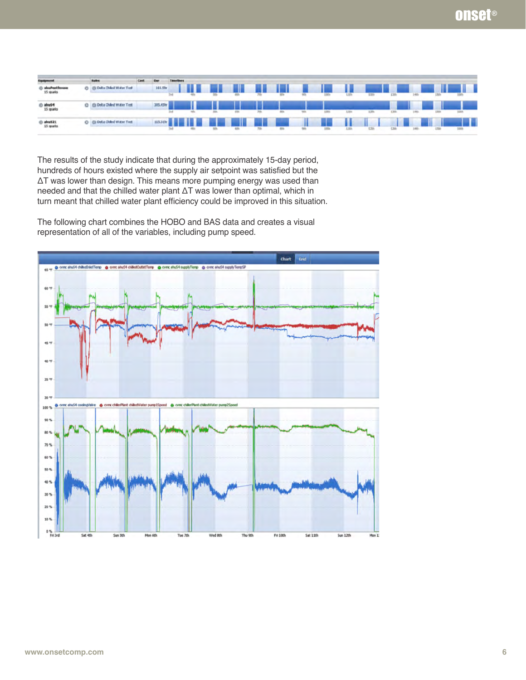| Equipment                         |    | <b>Bakes</b>          |          |     |       |      |           |     |                |            |      |                |                                                           |     |       |             |
|-----------------------------------|----|-----------------------|----------|-----|-------|------|-----------|-----|----------------|------------|------|----------------|-----------------------------------------------------------|-----|-------|-------------|
| () abuPenthour<br>15 spats        | о. | ta Chilled Water Test | 161.5hr  |     |       |      | Ш         | 88  | <u>an is n</u> |            | .    | - 11           |                                                           |     |       |             |
|                                   |    |                       |          | 2rd |       |      |           | 70  | <b>ROLL</b>    |            |      |                |                                                           |     | 1401  |             |
| <sup>(2)</sup> ahu54<br>15 sparks | o  | Med Water Test        | 305.45hr |     |       | - 11 |           |     |                |            |      |                | <b>The company's company's and the company's programs</b> |     |       |             |
|                                   |    |                       |          | bd  | only. | Std. | 65%       | 70h | <b>BES</b>     | <b>SES</b> |      |                | 3,25%                                                     | ERS | 1.0th | saw         |
| (i) abu521<br>15 aparks           | ۰  | Med Water Test        |          |     |       |      | m II<br>п |     |                | Ψ          | - 88 | $\frac{1}{10}$ |                                                           |     |       |             |
|                                   |    |                       |          | 24  | 40c   |      | 631       | 70  | $-$            |            | 18%  |                | <b>ESS</b>                                                |     |       | <b>both</b> |

The results of the study indicate that during the approximately 15-day period, hundreds of hours existed where the supply air setpoint was satisfied but the ΔT was lower than design. This means more pumping energy was used than needed and that the chilled water plant ΔT was lower than optimal, which in turn meant that chilled water plant efficiency could be improved in this situation.

The following chart combines the HOBO and BAS data and creates a visual representation of all of the variables, including pump speed.

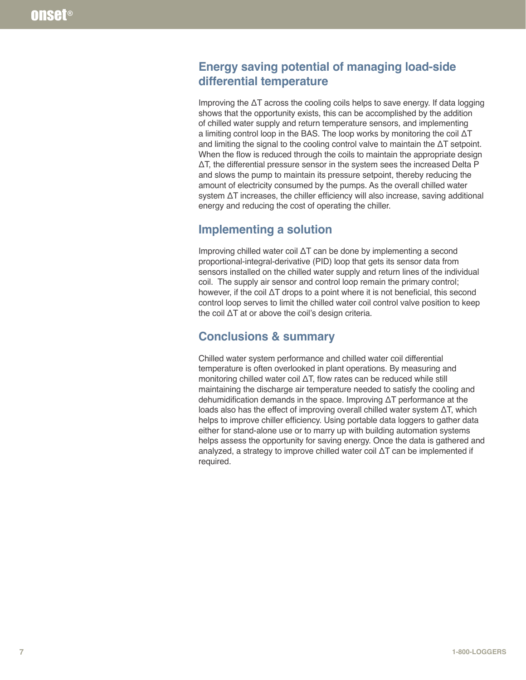## **Energy saving potential of managing load-side differential temperature**

Improving the ΔT across the cooling coils helps to save energy. If data logging shows that the opportunity exists, this can be accomplished by the addition of chilled water supply and return temperature sensors, and implementing a limiting control loop in the BAS. The loop works by monitoring the coil ΔT and limiting the signal to the cooling control valve to maintain the ΔT setpoint. When the flow is reduced through the coils to maintain the appropriate design ΔT, the differential pressure sensor in the system sees the increased Delta P and slows the pump to maintain its pressure setpoint, thereby reducing the amount of electricity consumed by the pumps. As the overall chilled water system ΔT increases, the chiller efficiency will also increase, saving additional energy and reducing the cost of operating the chiller.

## **Implementing a solution**

Improving chilled water coil ΔT can be done by implementing a second proportional-integral-derivative (PID) loop that gets its sensor data from sensors installed on the chilled water supply and return lines of the individual coil. The supply air sensor and control loop remain the primary control; however, if the coil ΔT drops to a point where it is not beneficial, this second control loop serves to limit the chilled water coil control valve position to keep the coil ΔT at or above the coil's design criteria.

# **Conclusions & summary**

Chilled water system performance and chilled water coil differential temperature is often overlooked in plant operations. By measuring and monitoring chilled water coil ΔT, flow rates can be reduced while still maintaining the discharge air temperature needed to satisfy the cooling and dehumidification demands in the space. Improving ΔT performance at the loads also has the effect of improving overall chilled water system ΔT, which helps to improve chiller efficiency. Using portable data loggers to gather data either for stand-alone use or to marry up with building automation systems helps assess the opportunity for saving energy. Once the data is gathered and analyzed, a strategy to improve chilled water coil ΔT can be implemented if required.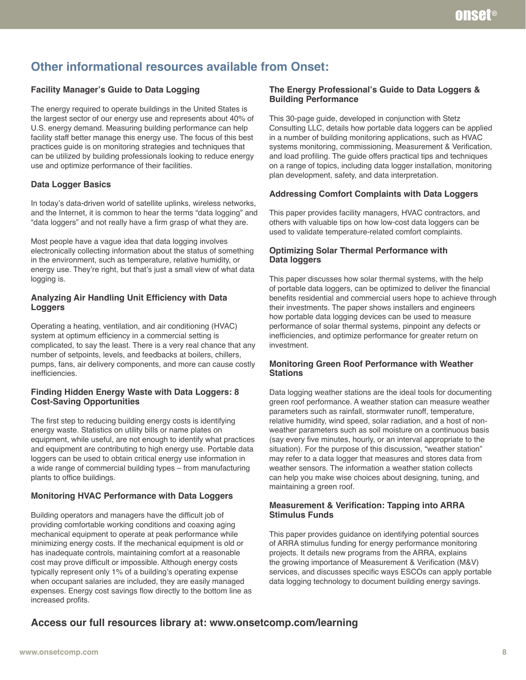# **Other informational resources available from Onset:**

#### **Facility Manager's Guide to Data Logging**

The energy required to operate buildings in the United States is the largest sector of our energy use and represents about 40% of U.S. energy demand. Measuring building performance can help facility staff better manage this energy use. The focus of this best practices guide is on monitoring strategies and techniques that can be utilized by building professionals looking to reduce energy use and optimize performance of their facilities.

#### **Data Logger Basics**

In today's data-driven world of satellite uplinks, wireless networks, and the Internet, it is common to hear the terms "data logging" and "data loggers" and not really have a firm grasp of what they are.

Most people have a vague idea that data logging involves electronically collecting information about the status of something in the environment, such as temperature, relative humidity, or energy use. They're right, but that's just a small view of what data logging is.

#### **Analyzing Air Handling Unit Efficiency with Data Loggers**

Operating a heating, ventilation, and air conditioning (HVAC) system at optimum efficiency in a commercial setting is complicated, to say the least. There is a very real chance that any number of setpoints, levels, and feedbacks at boilers, chillers, pumps, fans, air delivery components, and more can cause costly inefficiencies.

#### **Finding Hidden Energy Waste with Data Loggers: 8 Cost-Saving Opportunities**

The first step to reducing building energy costs is identifying energy waste. Statistics on utility bills or name plates on equipment, while useful, are not enough to identify what practices and equipment are contributing to high energy use. Portable data loggers can be used to obtain critical energy use information in a wide range of commercial building types – from manufacturing plants to office buildings.

### **Monitoring HVAC Performance with Data Loggers**

Building operators and managers have the difficult job of providing comfortable working conditions and coaxing aging mechanical equipment to operate at peak performance while minimizing energy costs. If the mechanical equipment is old or has inadequate controls, maintaining comfort at a reasonable cost may prove difficult or impossible. Although energy costs typically represent only 1% of a building's operating expense when occupant salaries are included, they are easily managed expenses. Energy cost savings flow directly to the bottom line as increased profits.

#### **The Energy Professional's Guide to Data Loggers & Building Performance**

This 30-page guide, developed in conjunction with Stetz Consulting LLC, details how portable data loggers can be applied in a number of building monitoring applications, such as HVAC systems monitoring, commissioning, Measurement & Verification, and load profiling. The guide offers practical tips and techniques on a range of topics, including data logger installation, monitoring plan development, safety, and data interpretation.

#### **Addressing Comfort Complaints with Data Loggers**

This paper provides facility managers, HVAC contractors, and others with valuable tips on how low-cost data loggers can be used to validate temperature-related comfort complaints.

#### **Optimizing Solar Thermal Performance with Data loggers**

This paper discusses how solar thermal systems, with the help of portable data loggers, can be optimized to deliver the financial benefits residential and commercial users hope to achieve through their investments. The paper shows installers and engineers how portable data logging devices can be used to measure performance of solar thermal systems, pinpoint any defects or inefficiencies, and optimize performance for greater return on investment.

#### **Monitoring Green Roof Performance with Weather Stations**

Data logging weather stations are the ideal tools for documenting green roof performance. A weather station can measure weather parameters such as rainfall, stormwater runoff, temperature, relative humidity, wind speed, solar radiation, and a host of nonweather parameters such as soil moisture on a continuous basis (say every five minutes, hourly, or an interval appropriate to the situation). For the purpose of this discussion, "weather station" may refer to a data logger that measures and stores data from weather sensors. The information a weather station collects can help you make wise choices about designing, tuning, and maintaining a green roof.

#### **Measurement & Verification: Tapping into ARRA Stimulus Funds**

This paper provides guidance on identifying potential sources of ARRA stimulus funding for energy performance monitoring projects. It details new programs from the ARRA, explains the growing importance of Measurement & Verification (M&V) services, and discusses specific ways ESCOs can apply portable data logging technology to document building energy savings.

## **Access our full resources library at: www.onsetcomp.com/learning**